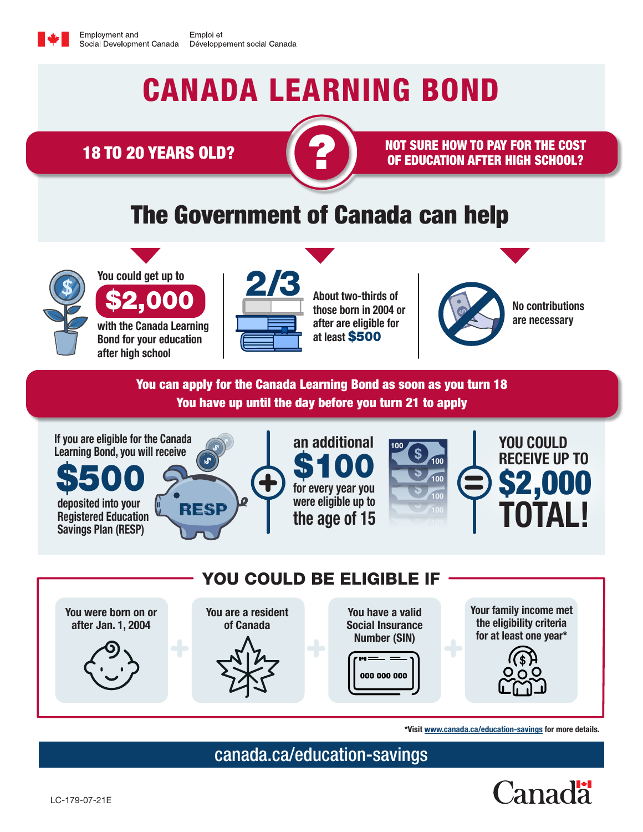## CANADA LEARNING BOND

18 TO 20 YEARS OLD? ?



NOT SURE HOW TO PAY FOR THE COST OF EDUCATION AFTER HIGH SCHOOL?

## The Government of Canada can help



You could get up to \$2,000

with the Canada Learning Bond for your education after high school



About two-thirds of those born in 2004 or after are eligible for at least \$500



No contributions are necessary

You can apply for the Canada Learning Bond as soon as you turn 18 You have up until the day before you turn 21 to apply





\*Visit [www.canada.ca/education-savings](http://www.canada.ca/education-savings) for more details.

[canada.ca/education-savings](https://www.canada.ca/en/services/benefits/education/education-savings.html?utm_campaign=not-applicable&utm_medium=vanity-url&utm_source=canada-ca_education-savings)